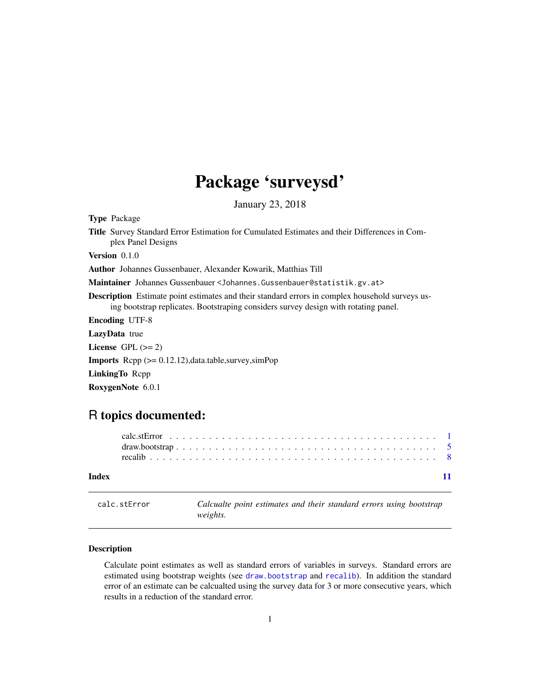## Package 'surveysd'

January 23, 2018

<span id="page-0-1"></span><span id="page-0-0"></span>Type Package

Title Survey Standard Error Estimation for Cumulated Estimates and their Differences in Complex Panel Designs

Version 0.1.0

Author Johannes Gussenbauer, Alexander Kowarik, Matthias Till

Maintainer Johannes Gussenbauer <Johannes.Gussenbauer@statistik.gv.at>

Description Estimate point estimates and their standard errors in complex household surveys using bootstrap replicates. Bootstraping considers survey design with rotating panel.

Encoding UTF-8

LazyData true

License GPL  $(>= 2)$ 

Imports Rcpp (>= 0.12.12),data.table,survey,simPop

LinkingTo Rcpp

RoxygenNote 6.0.1

### R topics documented:

| Index |  |  |  |  |  |  |  |  |  |  |  |  |  |  |  |  |  |  |  |
|-------|--|--|--|--|--|--|--|--|--|--|--|--|--|--|--|--|--|--|--|
|       |  |  |  |  |  |  |  |  |  |  |  |  |  |  |  |  |  |  |  |

calc.stError *Calcualte point estimates and their standard errors using bootstrap weights.*

#### Description

Calculate point estimates as well as standard errors of variables in surveys. Standard errors are estimated using bootstrap weights (see [draw.bootstrap](#page-4-1) and [recalib](#page-7-1)). In addition the standard error of an estimate can be calcualted using the survey data for 3 or more consecutive years, which results in a reduction of the standard error.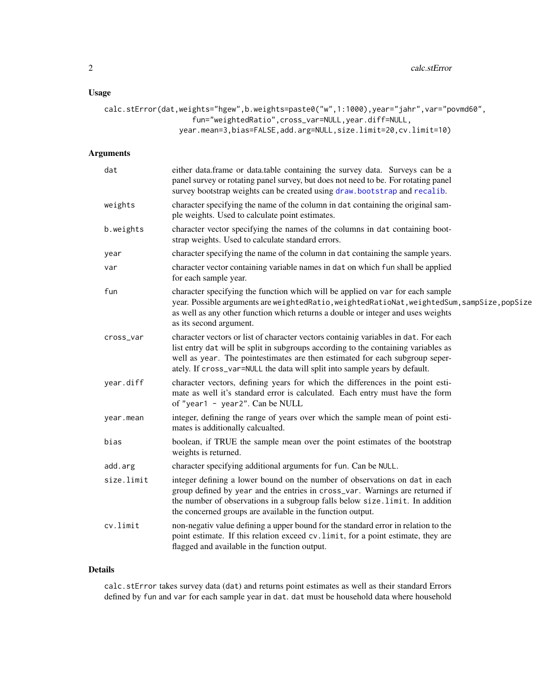<span id="page-1-0"></span>2 calc.stError calc.stError calc.stError calc.stError

#### Usage

```
calc.stError(dat,weights="hgew",b.weights=paste0("w",1:1000),year="jahr",var="povmd60",
                    fun="weightedRatio",cross_var=NULL,year.diff=NULL,
                 year.mean=3,bias=FALSE,add.arg=NULL,size.limit=20,cv.limit=10)
```
#### Arguments

| dat        | either data.frame or data.table containing the survey data. Surveys can be a<br>panel survey or rotating panel survey, but does not need to be. For rotating panel<br>survey bootstrap weights can be created using draw.bootstrap and recalib.                                                                                         |
|------------|-----------------------------------------------------------------------------------------------------------------------------------------------------------------------------------------------------------------------------------------------------------------------------------------------------------------------------------------|
| weights    | character specifying the name of the column in dat containing the original sam-<br>ple weights. Used to calculate point estimates.                                                                                                                                                                                                      |
| b.weights  | character vector specifying the names of the columns in dat containing boot-<br>strap weights. Used to calculate standard errors.                                                                                                                                                                                                       |
| year       | character specifying the name of the column in dat containing the sample years.                                                                                                                                                                                                                                                         |
| var        | character vector containing variable names in dat on which fun shall be applied<br>for each sample year.                                                                                                                                                                                                                                |
| fun        | character specifying the function which will be applied on var for each sample<br>year. Possible arguments are weightedRatio, weightedRatioNat, weightedSum, sampSize, popSize<br>as well as any other function which returns a double or integer and uses weights<br>as its second argument.                                           |
| cross_var  | character vectors or list of character vectors containig variables in dat. For each<br>list entry dat will be split in subgroups according to the containing variables as<br>well as year. The pointestimates are then estimated for each subgroup seper-<br>ately. If cross_var=NULL the data will split into sample years by default. |
| year.diff  | character vectors, defining years for which the differences in the point esti-<br>mate as well it's standard error is calculated. Each entry must have the form<br>of "year1 - year2". Can be NULL                                                                                                                                      |
| year.mean  | integer, defining the range of years over which the sample mean of point esti-<br>mates is additionally calcualted.                                                                                                                                                                                                                     |
| bias       | boolean, if TRUE the sample mean over the point estimates of the bootstrap<br>weights is returned.                                                                                                                                                                                                                                      |
| add.arg    | character specifying additional arguments for fun. Can be NULL.                                                                                                                                                                                                                                                                         |
| size.limit | integer defining a lower bound on the number of observations on dat in each<br>group defined by year and the entries in cross_var. Warnings are returned if<br>the number of observations in a subgroup falls below size.limit. In addition<br>the concerned groups are available in the function output.                               |
| cv.limit   | non-negativ value defining a upper bound for the standard error in relation to the<br>point estimate. If this relation exceed cv. limit, for a point estimate, they are<br>flagged and available in the function output.                                                                                                                |

#### Details

calc.stError takes survey data (dat) and returns point estimates as well as their standard Errors defined by fun and var for each sample year in dat. dat must be household data where household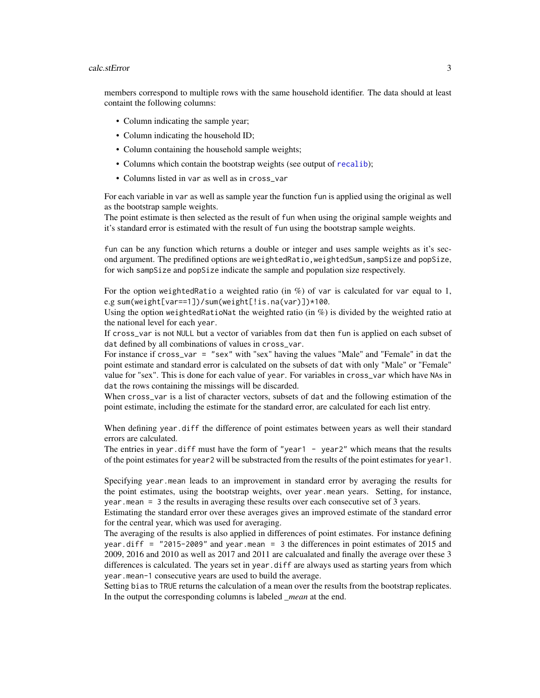#### calc.stError 3

members correspond to multiple rows with the same household identifier. The data should at least containt the following columns:

- Column indicating the sample year;
- Column indicating the household ID;
- Column containing the household sample weights;
- Columns which contain the bootstrap weights (see output of [recalib](#page-7-1));
- Columns listed in var as well as in cross\_var

For each variable in var as well as sample year the function fun is applied using the original as well as the bootstrap sample weights.

The point estimate is then selected as the result of fun when using the original sample weights and it's standard error is estimated with the result of fun using the bootstrap sample weights.

fun can be any function which returns a double or integer and uses sample weights as it's second argument. The predifined options are weightedRatio,weightedSum,sampSize and popSize, for wich sampSize and popSize indicate the sample and population size respectively.

For the option weightedRatio a weighted ratio (in  $\%$ ) of var is calculated for var equal to 1, e.g sum(weight[var==1])/sum(weight[!is.na(var)])\*100.

Using the option weightedRatioNat the weighted ratio (in  $\%$ ) is divided by the weighted ratio at the national level for each year.

If cross\_var is not NULL but a vector of variables from dat then fun is applied on each subset of dat defined by all combinations of values in cross\_var.

For instance if cross\_var = "sex" with "sex" having the values "Male" and "Female" in dat the point estimate and standard error is calculated on the subsets of dat with only "Male" or "Female" value for "sex". This is done for each value of year. For variables in cross\_var which have NAs in dat the rows containing the missings will be discarded.

When cross\_var is a list of character vectors, subsets of dat and the following estimation of the point estimate, including the estimate for the standard error, are calculated for each list entry.

When defining year.diff the difference of point estimates between years as well their standard errors are calculated.

The entries in year.diff must have the form of "year1 - year2" which means that the results of the point estimates for year2 will be substracted from the results of the point estimates for year1.

Specifying year.mean leads to an improvement in standard error by averaging the results for the point estimates, using the bootstrap weights, over year.mean years. Setting, for instance, year.mean = 3 the results in averaging these results over each consecutive set of 3 years.

Estimating the standard error over these averages gives an improved estimate of the standard error for the central year, which was used for averaging.

The averaging of the results is also applied in differences of point estimates. For instance defining year.diff = "2015-2009" and year.mean = 3 the differences in point estimates of 2015 and 2009, 2016 and 2010 as well as 2017 and 2011 are calcualated and finally the average over these 3 differences is calculated. The years set in year.diff are always used as starting years from which year.mean-1 consecutive years are used to build the average.

Setting bias to TRUE returns the calculation of a mean over the results from the bootstrap replicates. In the output the corresponding columns is labeled *\_mean* at the end.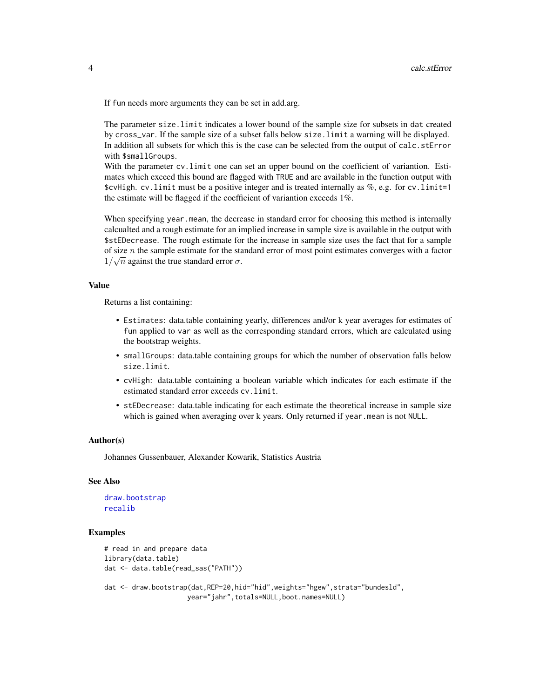<span id="page-3-0"></span>If fun needs more arguments they can be set in add.arg.

The parameter size.limit indicates a lower bound of the sample size for subsets in dat created by cross\_var. If the sample size of a subset falls below size.limit a warning will be displayed. In addition all subsets for which this is the case can be selected from the output of calc.stError with \$smallGroups.

With the parameter cv. limit one can set an upper bound on the coefficient of variantion. Estimates which exceed this bound are flagged with TRUE and are available in the function output with  $$cvHigh. cv-limit must be a positive integer and is treated internally as  $\%$ , e.g. for cv-limit=1$ the estimate will be flagged if the coefficient of variantion exceeds 1%.

When specifying year.mean, the decrease in standard error for choosing this method is internally calcualted and a rough estimate for an implied increase in sample size is available in the output with \$stEDecrease. The rough estimate for the increase in sample size uses the fact that for a sample of size *n* the sample estimate for the standard error of most point estimates converges with a factor  $1/\sqrt{n}$  against the true standard error  $\sigma$ .

#### Value

Returns a list containing:

- Estimates: data.table containing yearly, differences and/or k year averages for estimates of fun applied to var as well as the corresponding standard errors, which are calculated using the bootstrap weights.
- smallGroups: data.table containing groups for which the number of observation falls below size.limit.
- cvHigh: data.table containing a boolean variable which indicates for each estimate if the estimated standard error exceeds cv.limit.
- stEDecrease: data.table indicating for each estimate the theoretical increase in sample size which is gained when averaging over k years. Only returned if year.mean is not NULL.

#### Author(s)

Johannes Gussenbauer, Alexander Kowarik, Statistics Austria

#### See Also

```
draw.bootstrap
recalib
```
#### Examples

```
# read in and prepare data
library(data.table)
dat <- data.table(read_sas("PATH"))
dat <- draw.bootstrap(dat,REP=20,hid="hid",weights="hgew",strata="bundesld",
                    year="jahr",totals=NULL,boot.names=NULL)
```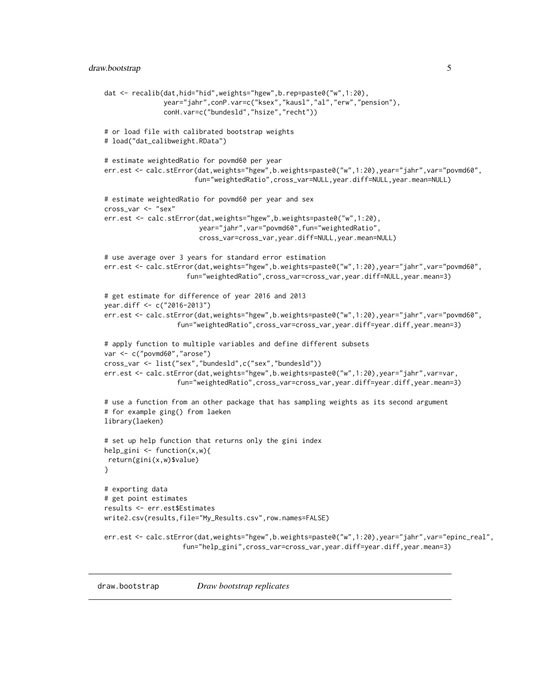```
dat <- recalib(dat,hid="hid",weights="hgew",b.rep=paste0("w",1:20),
               year="jahr",conP.var=c("ksex","kausl","al","erw","pension"),
               conH.var=c("bundesld","hsize","recht"))
# or load file with calibrated bootstrap weights
# load("dat_calibweight.RData")
# estimate weightedRatio for povmd60 per year
err.est <- calc.stError(dat,weights="hgew",b.weights=paste0("w",1:20),year="jahr",var="povmd60",
                       fun="weightedRatio",cross_var=NULL,year.diff=NULL,year.mean=NULL)
# estimate weightedRatio for povmd60 per year and sex
cross_var <- "sex"
err.est <- calc.stError(dat,weights="hgew",b.weights=paste0("w",1:20),
                        year="jahr",var="povmd60",fun="weightedRatio",
                        cross_var=cross_var,year.diff=NULL,year.mean=NULL)
# use average over 3 years for standard error estimation
err.est <- calc.stError(dat,weights="hgew",b.weights=paste0("w",1:20),year="jahr",var="povmd60",
                     fun="weightedRatio",cross_var=cross_var,year.diff=NULL,year.mean=3)
# get estimate for difference of year 2016 and 2013
year.diff <- c("2016-2013")
err.est <- calc.stError(dat,weights="hgew",b.weights=paste0("w",1:20),year="jahr",var="povmd60",
                  fun="weightedRatio",cross_var=cross_var,year.diff=year.diff,year.mean=3)
# apply function to multiple variables and define different subsets
var <- c("povmd60","arose")
cross_var <- list("sex","bundesld",c("sex","bundesld"))
err.est <- calc.stError(dat,weights="hgew",b.weights=paste0("w",1:20),year="jahr",var=var,
                  fun="weightedRatio",cross_var=cross_var,year.diff=year.diff,year.mean=3)
# use a function from an other package that has sampling weights as its second argument
# for example ging() from laeken
library(laeken)
# set up help function that returns only the gini index
help_gini \leq function(x,w){
return(gini(x,w)$value)
}
# exporting data
# get point estimates
results <- err.est$Estimates
write2.csv(results,file="My_Results.csv",row.names=FALSE)
err.est <- calc.stError(dat,weights="hgew",b.weights=paste0("w",1:20),year="jahr",var="epinc_real",
                   fun="help_gini",cross_var=cross_var,year.diff=year.diff,year.mean=3)
```
<span id="page-4-1"></span>draw.bootstrap *Draw bootstrap replicates*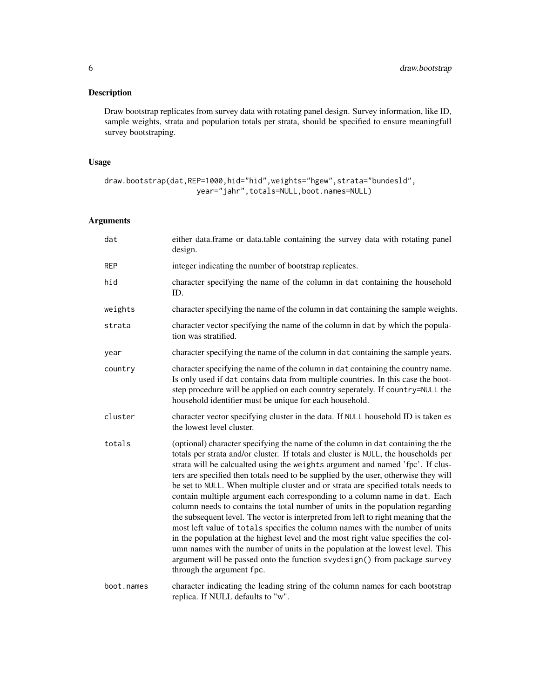#### Description

Draw bootstrap replicates from survey data with rotating panel design. Survey information, like ID, sample weights, strata and population totals per strata, should be specified to ensure meaningfull survey bootstraping.

#### Usage

```
draw.bootstrap(dat,REP=1000,hid="hid",weights="hgew",strata="bundesld",
                    year="jahr",totals=NULL,boot.names=NULL)
```
#### Arguments

| dat        | either data.frame or data.table containing the survey data with rotating panel<br>design.                                                                                                                                                                                                                                                                                                                                                                                                                                                                                                                                                                                                                                                                                                                                                                                                                                                                                                                                                                       |
|------------|-----------------------------------------------------------------------------------------------------------------------------------------------------------------------------------------------------------------------------------------------------------------------------------------------------------------------------------------------------------------------------------------------------------------------------------------------------------------------------------------------------------------------------------------------------------------------------------------------------------------------------------------------------------------------------------------------------------------------------------------------------------------------------------------------------------------------------------------------------------------------------------------------------------------------------------------------------------------------------------------------------------------------------------------------------------------|
| <b>REP</b> | integer indicating the number of bootstrap replicates.                                                                                                                                                                                                                                                                                                                                                                                                                                                                                                                                                                                                                                                                                                                                                                                                                                                                                                                                                                                                          |
| hid        | character specifying the name of the column in dat containing the household<br>ID.                                                                                                                                                                                                                                                                                                                                                                                                                                                                                                                                                                                                                                                                                                                                                                                                                                                                                                                                                                              |
| weights    | character specifying the name of the column in dat containing the sample weights.                                                                                                                                                                                                                                                                                                                                                                                                                                                                                                                                                                                                                                                                                                                                                                                                                                                                                                                                                                               |
| strata     | character vector specifying the name of the column in dat by which the popula-<br>tion was stratified.                                                                                                                                                                                                                                                                                                                                                                                                                                                                                                                                                                                                                                                                                                                                                                                                                                                                                                                                                          |
| year       | character specifying the name of the column in dat containing the sample years.                                                                                                                                                                                                                                                                                                                                                                                                                                                                                                                                                                                                                                                                                                                                                                                                                                                                                                                                                                                 |
| country    | character specifying the name of the column in dat containing the country name.<br>Is only used if dat contains data from multiple countries. In this case the boot-<br>step procedure will be applied on each country seperately. If country=NULL the<br>household identifier must be unique for each household.                                                                                                                                                                                                                                                                                                                                                                                                                                                                                                                                                                                                                                                                                                                                               |
| cluster    | character vector specifying cluster in the data. If NULL household ID is taken es<br>the lowest level cluster.                                                                                                                                                                                                                                                                                                                                                                                                                                                                                                                                                                                                                                                                                                                                                                                                                                                                                                                                                  |
| totals     | (optional) character specifying the name of the column in dat containing the the<br>totals per strata and/or cluster. If totals and cluster is NULL, the households per<br>strata will be calcualted using the weights argument and named 'fpc'. If clus-<br>ters are specified then totals need to be supplied by the user, otherwise they will<br>be set to NULL. When multiple cluster and or strata are specified totals needs to<br>contain multiple argument each corresponding to a column name in dat. Each<br>column needs to contains the total number of units in the population regarding<br>the subsequent level. The vector is interpreted from left to right meaning that the<br>most left value of totals specifies the column names with the number of units<br>in the population at the highest level and the most right value specifies the col-<br>umn names with the number of units in the population at the lowest level. This<br>argument will be passed onto the function svydesign() from package survey<br>through the argument fpc. |
| boot.names | character indicating the leading string of the column names for each bootstrap<br>replica. If NULL defaults to "w".                                                                                                                                                                                                                                                                                                                                                                                                                                                                                                                                                                                                                                                                                                                                                                                                                                                                                                                                             |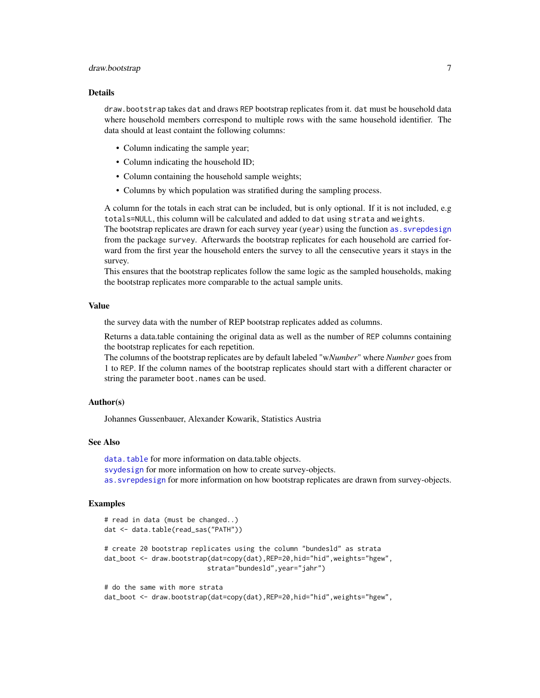#### <span id="page-6-0"></span>draw.bootstrap 7

#### Details

draw.bootstrap takes dat and draws REP bootstrap replicates from it. dat must be household data where household members correspond to multiple rows with the same household identifier. The data should at least containt the following columns:

- Column indicating the sample year;
- Column indicating the household ID;
- Column containing the household sample weights;
- Columns by which population was stratified during the sampling process.

A column for the totals in each strat can be included, but is only optional. If it is not included, e.g totals=NULL, this column will be calculated and added to dat using strata and weights.

The bootstrap replicates are drawn for each survey year (year) using the function [as.svrepdesign](#page-0-1) from the package survey. Afterwards the bootstrap replicates for each household are carried forward from the first year the household enters the survey to all the censecutive years it stays in the survey.

This ensures that the bootstrap replicates follow the same logic as the sampled households, making the bootstrap replicates more comparable to the actual sample units.

#### Value

the survey data with the number of REP bootstrap replicates added as columns.

Returns a data.table containing the original data as well as the number of REP columns containing the bootstrap replicates for each repetition.

The columns of the bootstrap replicates are by default labeled "w*Number*" where *Number* goes from 1 to REP. If the column names of the bootstrap replicates should start with a different character or string the parameter boot.names can be used.

#### Author(s)

Johannes Gussenbauer, Alexander Kowarik, Statistics Austria

#### See Also

[data.table](#page-0-1) for more information on data.table objects. [svydesign](#page-0-1) for more information on how to create survey-objects. [as.svrepdesign](#page-0-1) for more information on how bootstrap replicates are drawn from survey-objects.

#### Examples

```
# read in data (must be changed..)
dat <- data.table(read_sas("PATH"))
# create 20 bootstrap replicates using the column "bundesld" as strata
dat_boot <- draw.bootstrap(dat=copy(dat),REP=20,hid="hid",weights="hgew",
                          strata="bundesld",year="jahr")
# do the same with more strata
```
dat\_boot <- draw.bootstrap(dat=copy(dat),REP=20,hid="hid",weights="hgew",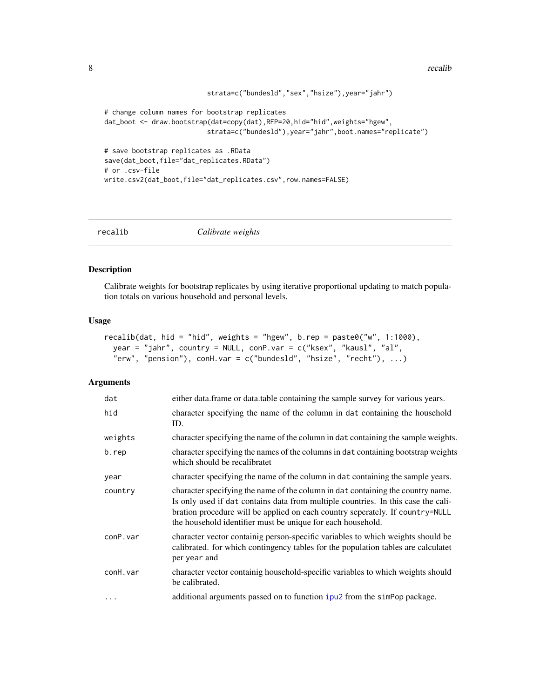```
strata=c("bundesld","sex","hsize"),year="jahr")
# change column names for bootstrap replicates
dat_boot <- draw.bootstrap(dat=copy(dat),REP=20,hid="hid",weights="hgew",
                          strata=c("bundesld"),year="jahr",boot.names="replicate")
# save bootstrap replicates as .RData
save(dat_boot,file="dat_replicates.RData")
# or .csv-file
write.csv2(dat_boot,file="dat_replicates.csv",row.names=FALSE)
```
<span id="page-7-1"></span>

recalib *Calibrate weights*

#### Description

Calibrate weights for bootstrap replicates by using iterative proportional updating to match population totals on various household and personal levels.

#### Usage

```
recalib(dat, hid = "hid", weights = "hgew", b.rep = paste0("w", 1:1000),
 year = "jahr", country = NULL, conP.var = c("ksex", "kausl", "al",
 "erw", "pension"), conH.var = c("bundesld", "hsize", "recht"), ...)
```
#### Arguments

| dat      | either data. frame or data. table containing the sample survey for various years.                                                                                                                                                                                                                                    |
|----------|----------------------------------------------------------------------------------------------------------------------------------------------------------------------------------------------------------------------------------------------------------------------------------------------------------------------|
| hid      | character specifying the name of the column in dat containing the household<br>ID.                                                                                                                                                                                                                                   |
| weights  | character specifying the name of the column in dat containing the sample weights.                                                                                                                                                                                                                                    |
| b.rep    | character specifying the names of the columns in dat containing bootstrap weights<br>which should be recalibratet                                                                                                                                                                                                    |
| year     | character specifying the name of the column in dat containing the sample years.                                                                                                                                                                                                                                      |
| country  | character specifying the name of the column in dat containing the country name.<br>Is only used if dat contains data from multiple countries. In this case the cali-<br>bration procedure will be applied on each country seperately. If country=NULL<br>the household identifier must be unique for each household. |
| conP.var | character vector containig person-specific variables to which weights should be<br>calibrated. for which contingency tables for the population tables are calculated<br>per year and                                                                                                                                 |
| conH.var | character vector containig household-specific variables to which weights should<br>be calibrated.                                                                                                                                                                                                                    |
| $\cdots$ | additional arguments passed on to function ipu2 from the simPop package.                                                                                                                                                                                                                                             |
|          |                                                                                                                                                                                                                                                                                                                      |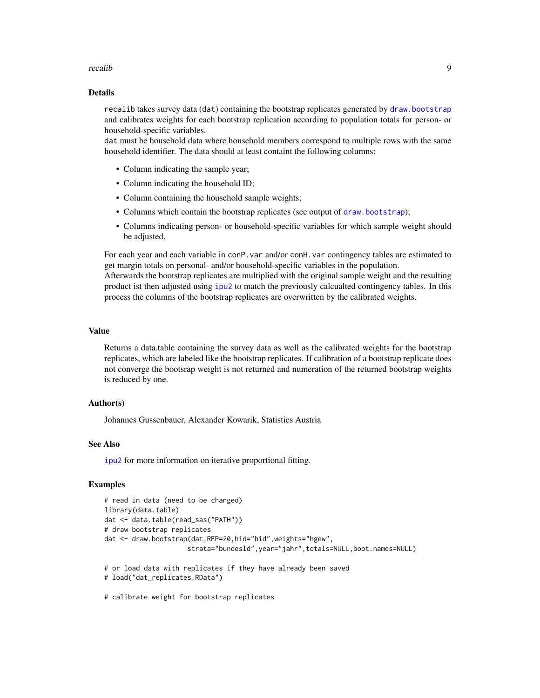#### <span id="page-8-0"></span>recalib 9

#### Details

recalib takes survey data (dat) containing the bootstrap replicates generated by [draw.bootstrap](#page-4-1) and calibrates weights for each bootstrap replication according to population totals for person- or household-specific variables.

dat must be household data where household members correspond to multiple rows with the same household identifier. The data should at least containt the following columns:

- Column indicating the sample year;
- Column indicating the household ID;
- Column containing the household sample weights;
- Columns which contain the bootstrap replicates (see output of [draw.bootstrap](#page-4-1));
- Columns indicating person- or household-specific variables for which sample weight should be adjusted.

For each year and each variable in conP.var and/or conH.var contingency tables are estimated to get margin totals on personal- and/or household-specific variables in the population. Afterwards the bootstrap replicates are multiplied with the original sample weight and the resulting product ist then adjusted using [ipu2](#page-0-1) to match the previously calcualted contingency tables. In this process the columns of the bootstrap replicates are overwritten by the calibrated weights.

#### Value

Returns a data.table containing the survey data as well as the calibrated weights for the bootstrap replicates, which are labeled like the bootstrap replicates. If calibration of a bootstrap replicate does not converge the bootsrap weight is not returned and numeration of the returned bootstrap weights is reduced by one.

#### Author(s)

Johannes Gussenbauer, Alexander Kowarik, Statistics Austria

#### See Also

[ipu2](#page-0-1) for more information on iterative proportional fitting.

#### Examples

```
# read in data (need to be changed)
library(data.table)
dat <- data.table(read_sas("PATH"))
# draw bootstrap replicates
dat <- draw.bootstrap(dat,REP=20,hid="hid",weights="hgew",
                     strata="bundesld",year="jahr",totals=NULL,boot.names=NULL)
# or load data with replicates if they have already been saved
# load("dat_replicates.RData")
```
# calibrate weight for bootstrap replicates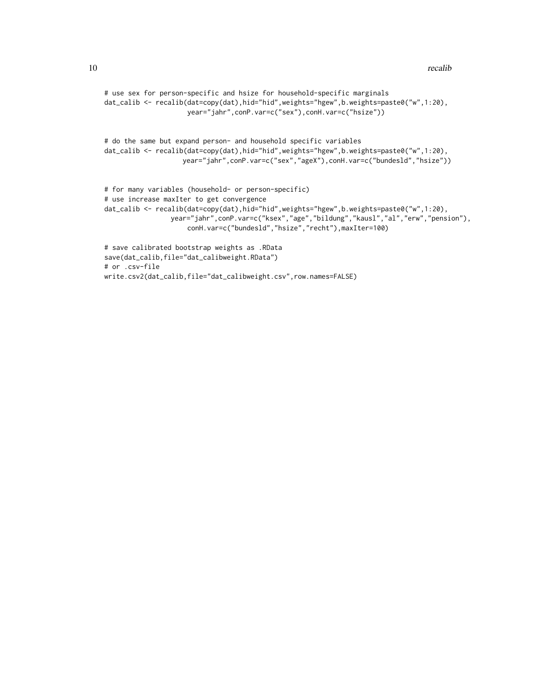```
# use sex for person-specific and hsize for household-specific marginals
dat_calib <- recalib(dat=copy(dat),hid="hid",weights="hgew",b.weights=paste0("w",1:20),
                    year="jahr",conP.var=c("sex"),conH.var=c("hsize"))
```

```
# do the same but expand person- and household specific variables
dat_calib <- recalib(dat=copy(dat),hid="hid",weights="hgew",b.weights=paste0("w",1:20),
                   year="jahr",conP.var=c("sex","ageX"),conH.var=c("bundesld","hsize"))
```

```
# for many variables (household- or person-specific)
# use increase maxIter to get convergence
dat_calib <- recalib(dat=copy(dat),hid="hid",weights="hgew",b.weights=paste0("w",1:20),
                year="jahr",conP.var=c("ksex","age","bildung","kausl","al","erw","pension"),
                     conH.var=c("bundesld","hsize","recht"),maxIter=100)
```

```
# save calibrated bootstrap weights as .RData
save(dat_calib,file="dat_calibweight.RData")
# or .csv-file
write.csv2(dat_calib,file="dat_calibweight.csv",row.names=FALSE)
```